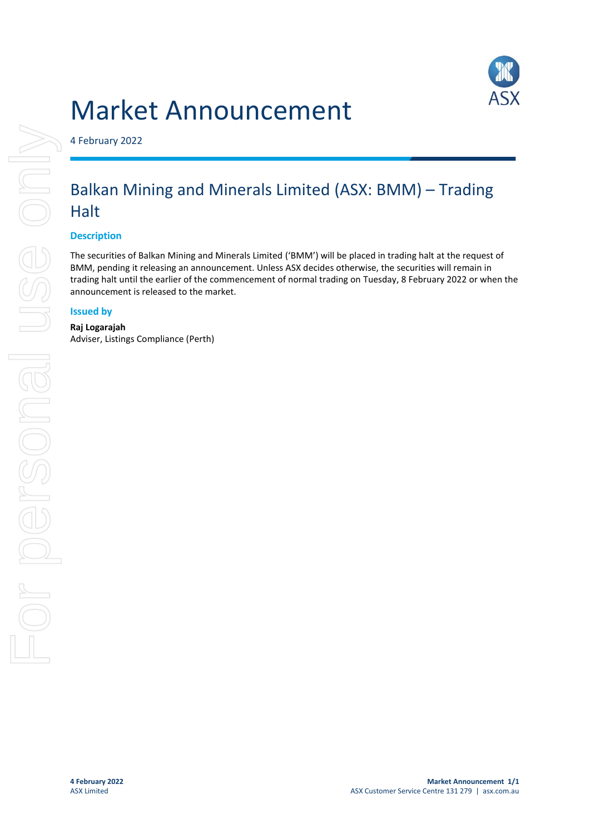



4 February 2022

# Balkan Mining and Minerals Limited (ASX: BMM) – Trading **Halt**

## **Description**

The securities of Balkan Mining and Minerals Limited ('BMM') will be placed in trading halt at the request of BMM, pending it releasing an announcement. Unless ASX decides otherwise, the securities will remain in trading halt until the earlier of the commencement of normal trading on Tuesday, 8 February 2022 or when the announcement is released to the market.

#### **Issued by**

**Raj Logarajah** Adviser, Listings Compliance (Perth)